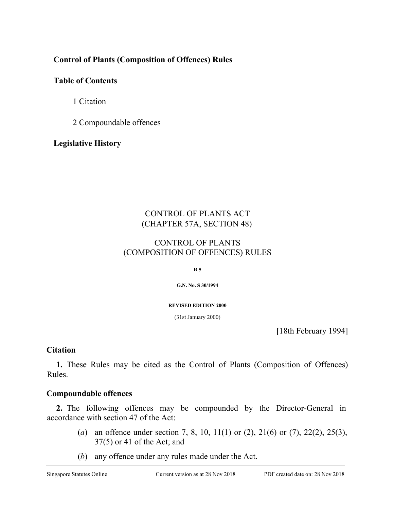### **Control of Plants (Composition of Offences) Rules**

# **Table of Contents**

1 Citation

2 Compoundable offences

**Legislative History**

# CONTROL OF PLANTS ACT (CHAPTER 57A, SECTION 48)

### CONTROL OF PLANTS (COMPOSITION OF OFFENCES) RULES

**R 5**

**G.N. No. S 30/1994**

**REVISED EDITION 2000**

(31st January 2000)

[18th February 1994]

#### **Citation**

**1.** These Rules may be cited as the Control of Plants (Composition of Offences) Rules.

#### **Compoundable offences**

**2.** The following offences may be compounded by the Director-General in accordance with section 47 of the Act:

- (*a*) an offence under section 7, 8, 10, 11(1) or (2), 21(6) or (7), 22(2), 25(3), 37(5) or 41 of the Act; and
- (*b*) any offence under any rules made under the Act.